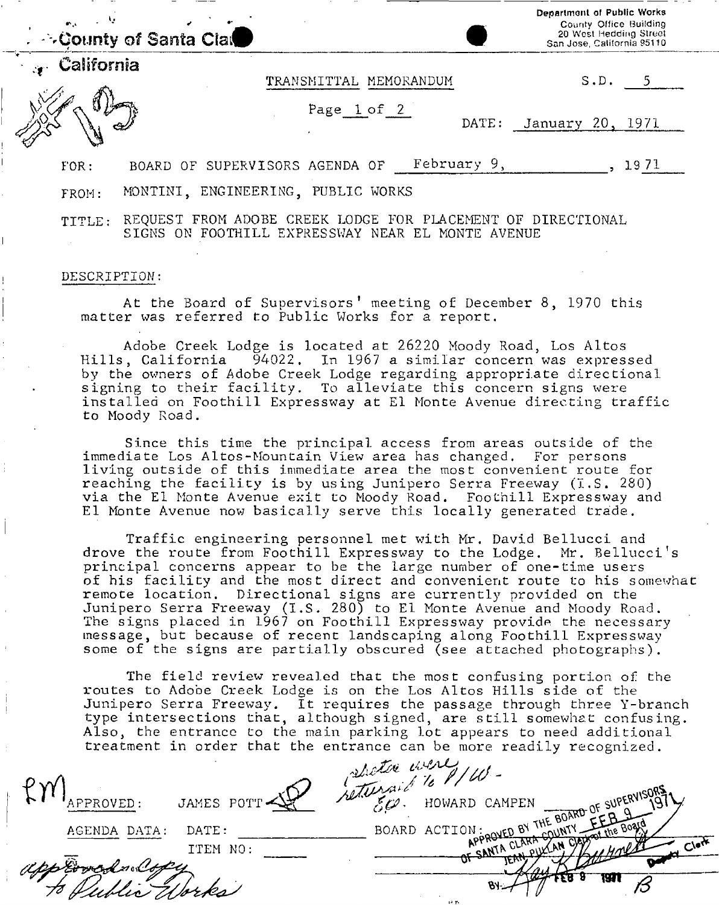|            | County of Santa Clare |                                    |             | Department of Public Works<br>County Office Building<br>20 West Hedding Street<br>San Jose, California 95110 |
|------------|-----------------------|------------------------------------|-------------|--------------------------------------------------------------------------------------------------------------|
| California |                       | TRANSMITTAL MEMORANDUM             |             | S.D.                                                                                                         |
|            |                       | Page 1 of 2                        | DATE:       | January 20,<br>- 1971                                                                                        |
| FOR:       |                       | BOARD OF SUPERVISORS AGENDA OF     | February 9, | 1971                                                                                                         |
| FROM:      |                       | MONTINI, ENGINEERING, PUBLIC WORKS |             |                                                                                                              |

TITLE: REQUEST FROM ADOBE CREEK LODGE FOR PLACEMENT OF DIRECTIONAL SIGNS ON FOOTHILL EXPRESSWAY NEAR EL MONTE AVENUE

### DESCRIPTION:

At the Board of Supervisors' meeting of December 8, 1970 this matter was referred to Public Works for a report.

Adobe Creek Lodge is located at 26220 Moody Road, Los Altos Hills, California 94022. In 1967 a similar concern was expressed by the owners of Adobe Creek Lodge regarding appropriate directional signing to their facility. To alleviate this concern signs were installed on Foothill Expressway at El Monte Avenue directing traffic to Moody Road.

Since this time the principal access from areas outside of the immediate Los Altos-Mountain View area has changed. For persons living outside of this immediate area the most convenient route for reaching the facility is by using Junipero Serra Freeway (I.S. 280) via the El Monte Avenue exit to Moody Road. Foothill Expressway and El Monte Avenue now basically serve this locally generated trade.

Traffic engineering personnel met with Mr. David Bellucci and drove the route from Foothill Expressway to the Lodge. Mr. Bellucci's principal concerns appear to be the large number of one-time users of his facility and the most direct and convenient route to his somewhat remote location. Directional signs are currently provided on the Junipero Serra Freeway (I.S. 280) to El Monte Avenue and Moody Road. The signs placed in 1967 on Foothill Expressway provide the necessary message, but because of recent landscaping along Foothill Expressway some of the signs are partially obscured (see attached photographs).

The field review revealed that the most confusing portion of the routes to Adobe Creek Lodge is on the Los Altos Hills side of the Junipero Serra Freeway. It requires the passage through three Y-branch type intersections that, although signed, are still somewhat confusing. Also, the entrance to the main parking lot appears to need additional treatment in order that the entrance can be more readily recognized.

|              |            | Detroited were 100                          |           |
|--------------|------------|---------------------------------------------|-----------|
|              | JAMES POTT | HOWARD CAMPEN                               |           |
| AGENDA DATA: | DATE:      | BOARD ACTION APPROVED BY THE BOARD OF SUI 9 |           |
|              | ITEM NO:   | - SANTA CLARA                               | $C_1$ erk |
|              |            |                                             |           |
|              |            |                                             |           |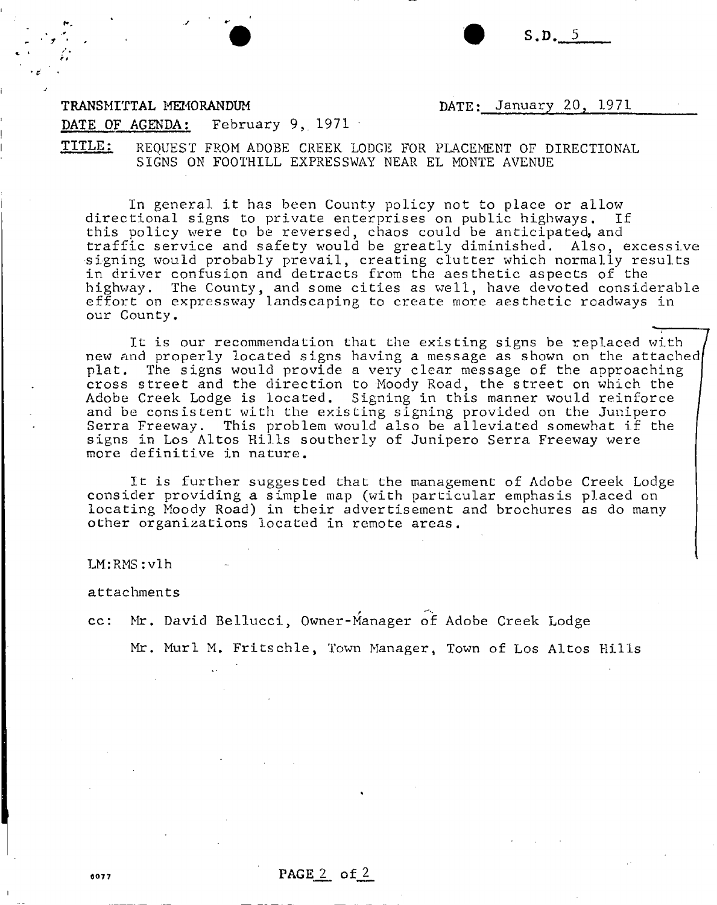$S.D. 5$ 

### TRANSMITTAL MEMORANDUM

DATE: January 20, 1971

### DATE OF AGENDA: February 9, 1971

TITLE: REQUEST FROM ADOBE CREEK LODGE FOR PLACEMENT OF DIRECTIONAL SIGNS ON FOOTHILL EXPRESSWAY NEAR EL MONTE AVENUE

In general it has been County policy not to place or allow<br>tional signs to private enterprises on public highways. If directional signs to private enterprises on public highways. this policy were to be reversed, chaos could be anticipated, and traffic service and safety would be greatly diminished. Also, excessive signing would probably prevail, creating clutter which normally results in driver confusion and detracts from the aesthetic aspects of the highway. The County, and some cities as well, have devoted considerable effort on expressway landscaping to create more aesthetic roadways in our County.

It is our recommendation that the existing signs be replaced with new and properly located signs having a message as shown on the attached plat. The signs would provide a very clear message of the approaching cross street and the direction to Moody Road, the street on which the Adobe Creek Lodge is located. Signing in this manner would reinforce and be consistent with the existing signing provided on the Junipero Serra Freeway. This problem would also be alleviated somewhat if the signs in Los Altos Hills southerly of Junipero Serra Freeway were more definitive in nature.

It is further suggested that the management of Adobe Creek Lodge consider providing a simple map (with particular emphasis placed on locating Moody Road) in their advertisement and brochures as do many other organizations located in remote areas.

LM:RMS:vlh

attachments

cc: Mr. David Bellucci, Owner-Manager of Adobe Creek Lodge

Mr. Murl M. Fritschle, Town Manager, Town of Los Altos Hills

 $\frac{6077}{205}$  PAGE 2 of 2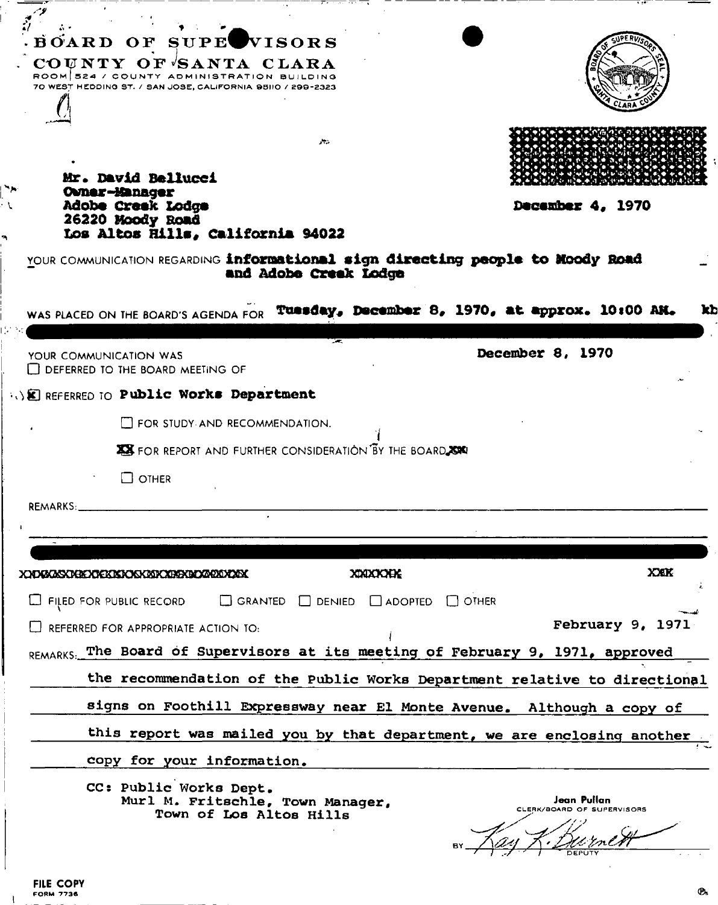| December 4, 1970<br>YOUR COMMUNICATION REGARDING informational sign directing people to Moody Road<br>WAS PLACED ON THE BOARD'S AGENDA FOR TURSCAY. DECEMber 8. 1970. at approx. 10:00 AM.<br>kb<br>December 8, 1970 |
|----------------------------------------------------------------------------------------------------------------------------------------------------------------------------------------------------------------------|
|                                                                                                                                                                                                                      |
|                                                                                                                                                                                                                      |
|                                                                                                                                                                                                                      |
|                                                                                                                                                                                                                      |
|                                                                                                                                                                                                                      |
|                                                                                                                                                                                                                      |
|                                                                                                                                                                                                                      |
|                                                                                                                                                                                                                      |
|                                                                                                                                                                                                                      |
|                                                                                                                                                                                                                      |
|                                                                                                                                                                                                                      |
|                                                                                                                                                                                                                      |
|                                                                                                                                                                                                                      |
|                                                                                                                                                                                                                      |
|                                                                                                                                                                                                                      |
|                                                                                                                                                                                                                      |
| <b>XXXX</b>                                                                                                                                                                                                          |
|                                                                                                                                                                                                                      |
| February 9, 1971                                                                                                                                                                                                     |
| REMARKS. The Board of Supervisors at its meeting of February 9, 1971, approved                                                                                                                                       |
| the recommendation of the Public Works Department relative to directional                                                                                                                                            |
| signs on Foothill Expressway near El Monte Avenue. Although a copy of                                                                                                                                                |
| this report was mailed you by that department, we are enclosing another                                                                                                                                              |
|                                                                                                                                                                                                                      |
|                                                                                                                                                                                                                      |
| Jean Pullan<br>CLERK/BOARD OF SUPERVISORS                                                                                                                                                                            |
|                                                                                                                                                                                                                      |
|                                                                                                                                                                                                                      |

٠.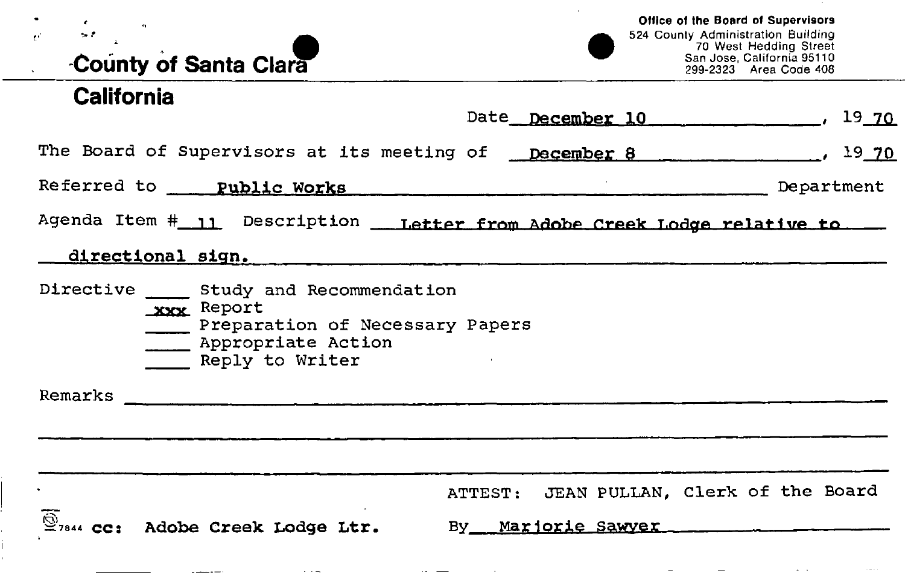# **County of Santa Clara**

the contract of the contract of the contract of

## **California**

 $\sim$   $\sim$ 

Date  $December 10$ ,  $19.70$ 

The Board of Supervisors at its meeting of **December 8** , 19 70

Referred to **Public Works Department** Department

Agenda Item # 11 Description \_\_ Letter from Adobe Creek Lodge relative to \_\_

## **directional sign.**

Directive Study and Recommendation XXX Report Preparation of Necessary Papers **Example 2** Appropriate Action Reply to Writer

Remarks

ATTEST: JEAN PULLAN, Clerk of the Board  $\overline{\mathbb{S}}$ <sub>7844</sub> cc: Adobe Creek Lodge Ltr. By Marjorie Sawver **Adobe Creek Lodge Ltr.** By Marjorie Sawver

the community of the control of the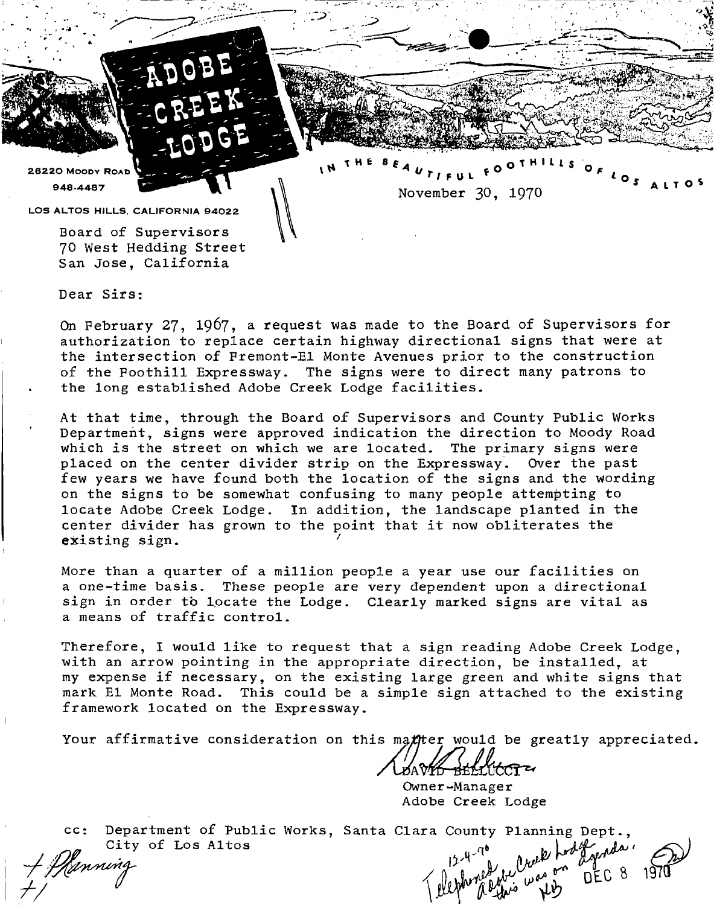26220 MOODY ROAD 948-448 7

November 30, 197O

*S altos* 

 $\bullet$ 

**1 H E B \*** OlH'U s

LOS ALTOS HILLS, CALIFORNIA 94022

Board of Supervisors 70 West Hedding Street San Jose, California

Dear Sirs:

On February 27, 1967, a request was made to the Board of Supervisors for authorization to replace certain highway directional signs that were at the intersection of Fremont-El Monte Avenues prior to the construction of the Foothill Expressway. The signs were to direct many patrons to the long established Adobe Creek Lodge facilities.

At that time, through the Board of Supervisors and County Public Works Department, signs were approved indication the direction to Moody Road which is the street on which we are located. The primary signs were placed on the center divider strip on the Expressway. Over the past few years we have found both the location of the signs and the wording on the signs to be somewhat confusing to many people attempting to locate Adobe Creek Lodge. In addition, the landscape planted in the center divider has grown to the point that it now obliterates the existing sign.  $\overline{1}$   $\overline{1}$   $\overline{1}$   $\overline{1}$   $\overline{1}$   $\overline{1}$   $\overline{1}$   $\overline{1}$   $\overline{1}$   $\overline{1}$   $\overline{1}$   $\overline{1}$   $\overline{1}$   $\overline{1}$   $\overline{1}$   $\overline{1}$   $\overline{1}$   $\overline{1}$   $\overline{1}$   $\overline{1}$   $\overline{1}$   $\overline{1}$   $\overline{1}$   $\overline{1}$   $\overline{$ 

More than a quarter of a million people a year use our facilities on a one-time basis. These people are very dependent upon a directional sign in order to locate the Lodge. Clearly marked signs are vital as a means of traffic control.

Therefore, I would like to request that a sign reading Adobe Creek Lodge, with an arrow pointing in the appropriate direction, be installed, at my expense if necessary, on the existing large green and white signs that mark El Monte Road. This could be a simple sign attached to the existing framework located on the Expressway.

Your affirmative consideration on this matter would be greatly appreciated.

Owner-Manager Adobe Creek Lodge

cc: Department of Public Works, Santa Clara County Planning Dept., City of Los Altos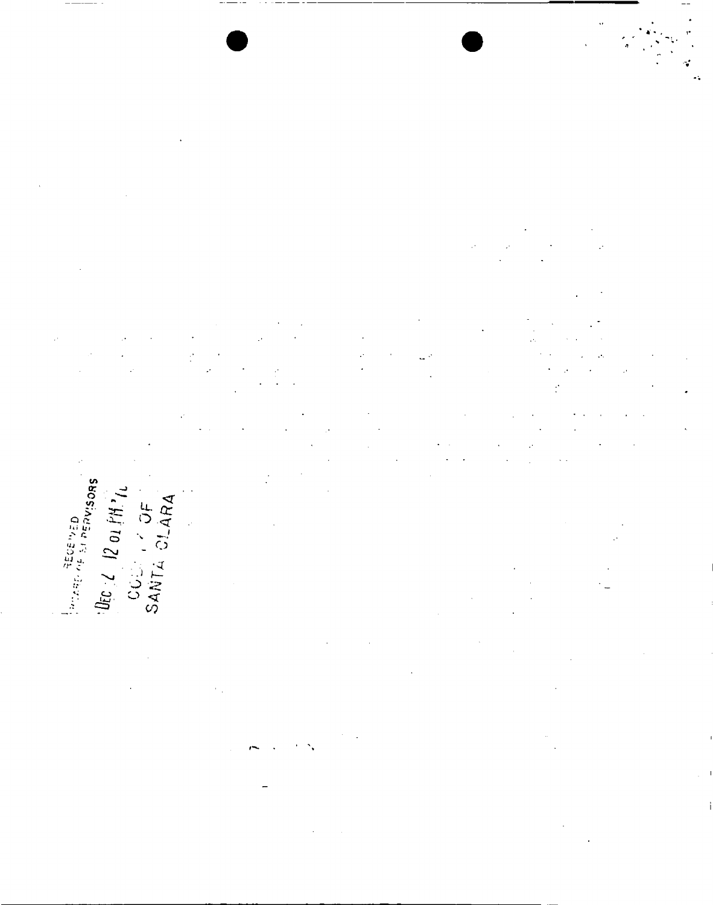$\frac{1}{2}$  $\hat{\mathcal{O}}$  $\cdot$ 

SBOSIABE IS THE UNITED

UEC  $\angle$  12 01 FM  $n$ <br>CCC  $\angle$  7 OF<br>SANTA CLARA

 $\frac{1}{2}$ ÿ,

د ل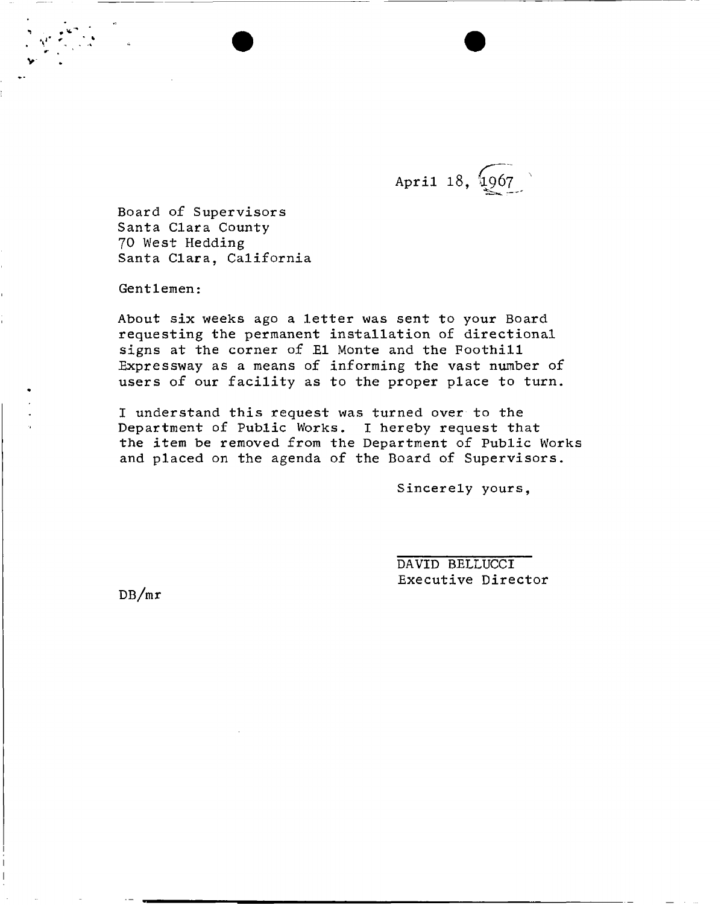April 18, 1967 - — -

Board of Supervisors Santa Clara County 70 West Hedding Santa Clara, California

Gentlemen:

About six weeks ago a letter was sent to your Board requesting the permanent installation of directional signs at the corner of El Monte and the Foothill Expressway as a means of informing the vast number of users of our facility as to the proper place to turn.

I understand this request was turned over to the Department of Public Works. I hereby request that the item be removed from the Department of Public Works and placed on the agenda of the Board of Supervisors.

Sincerely yours,

DAVID BELLUCCI Executive Director

DB/mr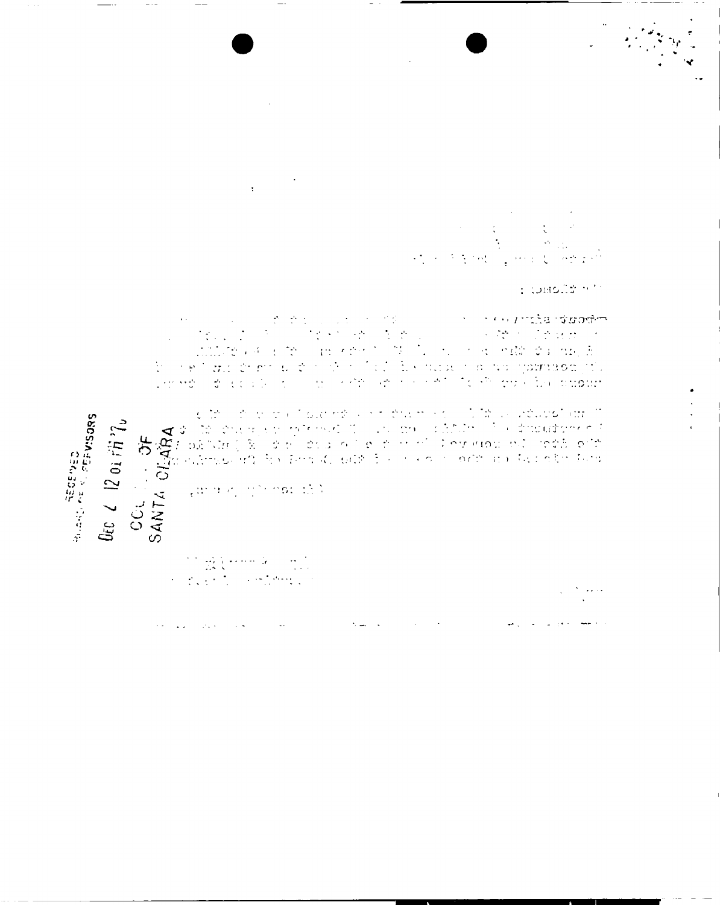$\ddot{\cdot}$  $\frac{1}{2}$ 不可 化  $\ell\neq\ell$  .

s tomolia n'h

A decision is the set of the set of the set of the set of the set of the set of the set of the set of the set of the set of the set of the set of the set of the set of the set of the set of the set of the set of the set o

Ruanji AEGENED<br>Ruanji AE Si PEPVISORS

Occ  $\angle$   $|2$  or  $i\hslash$   $\gamma_{\nu}$ 

 $\overline{\mathbb{C}}$ 

 $\mathcal{F}(\mathcal{F})$  , and  $\mathcal{F}(\mathcal{F})$ 

 $\sim 10^{-4}$ 

 $\sim$   $\sim$